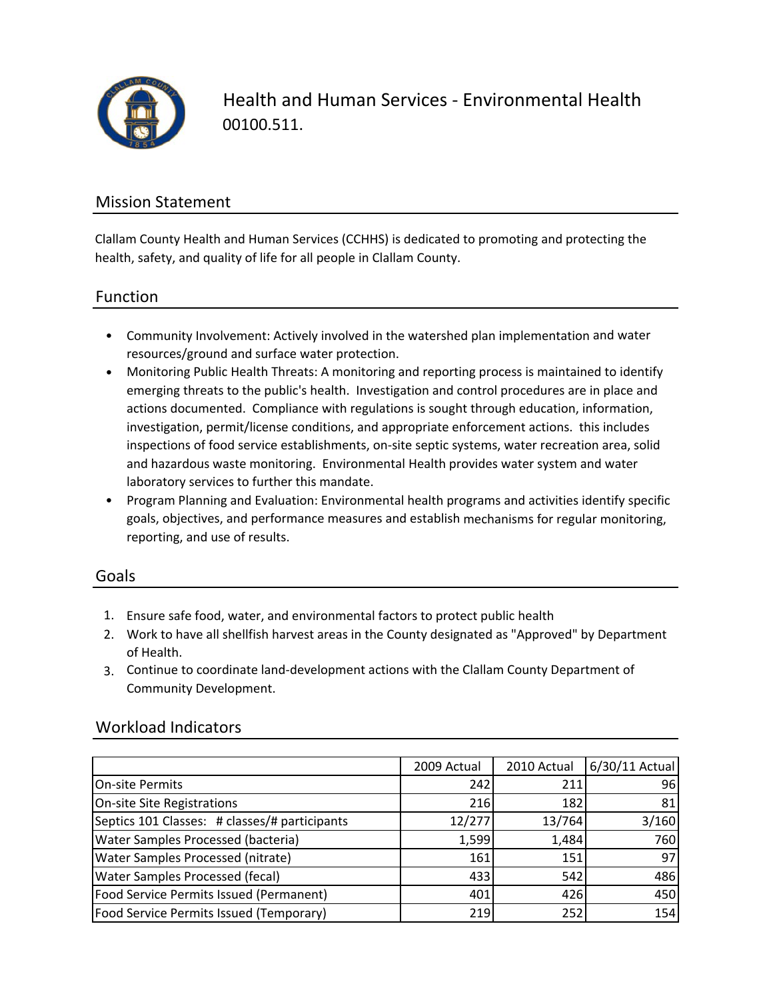

Health and Human Services ‐ Environmental Health 00100.511.

### Mission Statement

Clallam County Health and Human Services (CCHHS) is dedicated to promoting and protecting the health, safety, and quality of life for all people in Clallam County.

#### Function

- Community Involvement: Actively involved in the watershed plan implementation and water resources/ground and surface water protection.
- Monitoring Public Health Threats: A monitoring and reporting process is maintained to identify emerging threats to the public's health. Investigation and control procedures are in place and actions documented. Compliance with regulations is sought through education, information, investigation, permit/license conditions, and appropriate enforcement actions. this includes inspections of food service establishments, on-site septic systems, water recreation area, solid and hazardous waste monitoring. Environmental Health provides water system and water laboratory services to further this mandate.
- Program Planning and Evaluation: Environmental health programs and activities identify specific goals, objectives, and performance measures and establish mechanisms for regular monitoring, reporting, and use of results.

#### Goals

- 1. Ensure safe food, water, and environmental factors to protect public health
- 2. Work to have all shellfish harvest areas in the County designated as "Approved" by Department of Health.
- 3. Continue to coordinate land‐development actions with the Clallam County Department of Community Development.

#### Workload Indicators

|                                                | 2009 Actual | 2010 Actual | 6/30/11 Actual |
|------------------------------------------------|-------------|-------------|----------------|
| <b>On-site Permits</b>                         | 242         | 211         | 961            |
| On-site Site Registrations                     | 216         | 182         | 81             |
| Septics 101 Classes: # classes/# participants  | 12/277      | 13/764      | 3/160          |
| <b>Water Samples Processed (bacteria)</b>      | 1,599       | 1,484       | 760            |
| <b>Water Samples Processed (nitrate)</b>       | 161         | 151         | 97             |
| <b>Water Samples Processed (fecal)</b>         | 433         | 542         | 486            |
| Food Service Permits Issued (Permanent)        | 401         | 426         | 450            |
| <b>Food Service Permits Issued (Temporary)</b> | 219         | 252         | 154            |